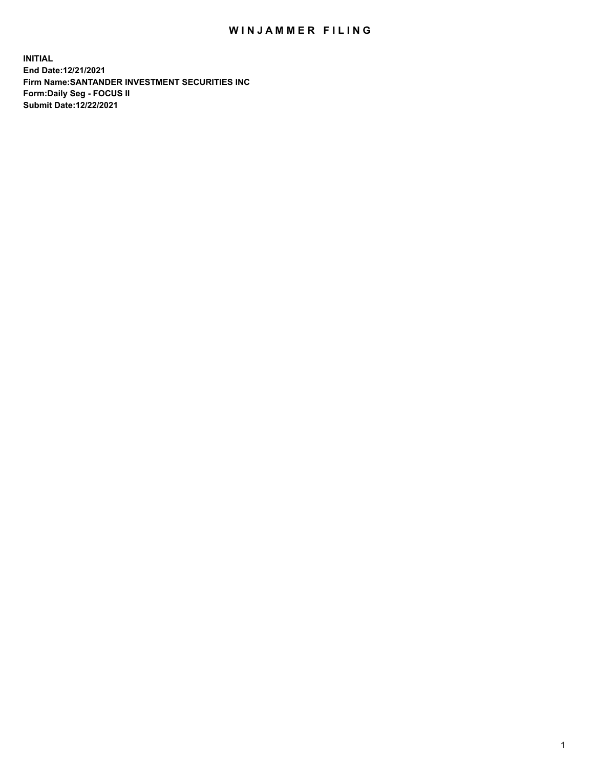## WIN JAMMER FILING

**INITIAL End Date:12/21/2021 Firm Name:SANTANDER INVESTMENT SECURITIES INC Form:Daily Seg - FOCUS II Submit Date:12/22/2021**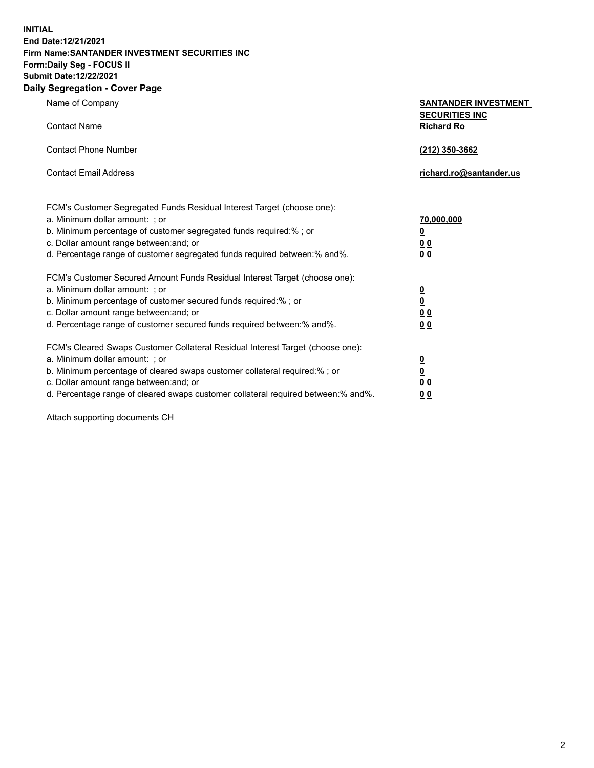**INITIAL End Date:12/21/2021 Firm Name:SANTANDER INVESTMENT SECURITIES INC Form:Daily Seg - FOCUS II Submit Date:12/22/2021 Daily Segregation - Cover Page**

| $-0.9$                                                                            |                                                      |
|-----------------------------------------------------------------------------------|------------------------------------------------------|
| Name of Company                                                                   | <b>SANTANDER INVESTMENT</b><br><b>SECURITIES INC</b> |
| <b>Contact Name</b>                                                               | <b>Richard Ro</b>                                    |
| <b>Contact Phone Number</b>                                                       | (212) 350-3662                                       |
| <b>Contact Email Address</b>                                                      | richard.ro@santander.us                              |
| FCM's Customer Segregated Funds Residual Interest Target (choose one):            |                                                      |
| a. Minimum dollar amount: ; or                                                    | <u>70,000,000</u>                                    |
| b. Minimum percentage of customer segregated funds required:% ; or                | <u>0</u>                                             |
| c. Dollar amount range between: and; or                                           | 00                                                   |
| d. Percentage range of customer segregated funds required between:% and%.         | 0 <sub>0</sub>                                       |
| FCM's Customer Secured Amount Funds Residual Interest Target (choose one):        |                                                      |
| a. Minimum dollar amount: ; or                                                    | $\frac{0}{0}$                                        |
| b. Minimum percentage of customer secured funds required:%; or                    |                                                      |
| c. Dollar amount range between: and; or                                           | 0 <sub>0</sub>                                       |
| d. Percentage range of customer secured funds required between:% and%.            | 0 <sub>0</sub>                                       |
| FCM's Cleared Swaps Customer Collateral Residual Interest Target (choose one):    |                                                      |
| a. Minimum dollar amount: ; or                                                    | $\frac{0}{0}$                                        |
| b. Minimum percentage of cleared swaps customer collateral required:% ; or        |                                                      |
| c. Dollar amount range between: and; or                                           | 00                                                   |
| d. Percentage range of cleared swaps customer collateral required between:% and%. | 00                                                   |

Attach supporting documents CH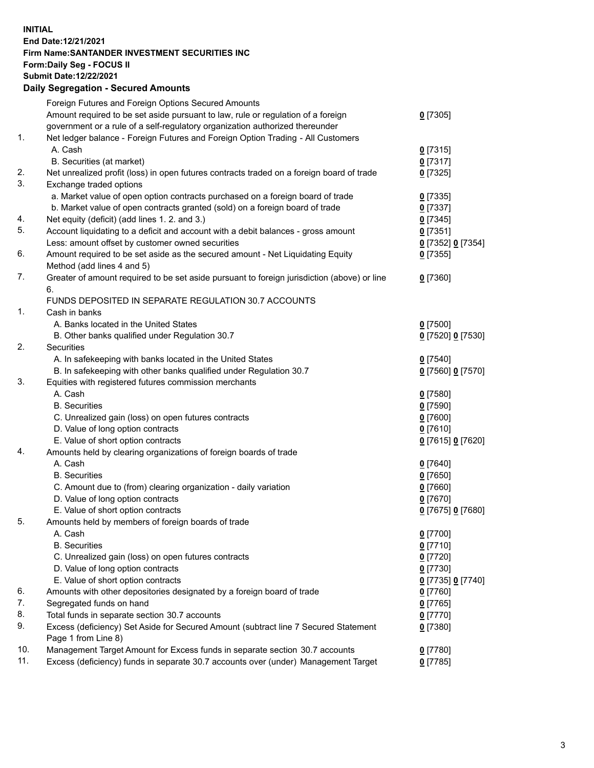## **INITIAL End Date:12/21/2021 Firm Name:SANTANDER INVESTMENT SECURITIES INC Form:Daily Seg - FOCUS II Submit Date:12/22/2021 Daily Segregation - Secured Amounts**

|     | Foreign Futures and Foreign Options Secured Amounts                                         |                   |
|-----|---------------------------------------------------------------------------------------------|-------------------|
|     | Amount required to be set aside pursuant to law, rule or regulation of a foreign            | $0$ [7305]        |
|     | government or a rule of a self-regulatory organization authorized thereunder                |                   |
| 1.  | Net ledger balance - Foreign Futures and Foreign Option Trading - All Customers             |                   |
|     | A. Cash                                                                                     | $0$ [7315]        |
|     | B. Securities (at market)                                                                   | $0$ [7317]        |
| 2.  | Net unrealized profit (loss) in open futures contracts traded on a foreign board of trade   | $0$ [7325]        |
| 3.  | Exchange traded options                                                                     |                   |
|     | a. Market value of open option contracts purchased on a foreign board of trade              | $0$ [7335]        |
|     | b. Market value of open contracts granted (sold) on a foreign board of trade                | $0$ [7337]        |
| 4.  | Net equity (deficit) (add lines 1. 2. and 3.)                                               | $0$ [7345]        |
| 5.  | Account liquidating to a deficit and account with a debit balances - gross amount           | $0$ [7351]        |
|     | Less: amount offset by customer owned securities                                            | 0 [7352] 0 [7354] |
| 6.  | Amount required to be set aside as the secured amount - Net Liquidating Equity              | $0$ [7355]        |
|     | Method (add lines 4 and 5)                                                                  |                   |
| 7.  | Greater of amount required to be set aside pursuant to foreign jurisdiction (above) or line | $0$ [7360]        |
|     | 6.                                                                                          |                   |
|     | FUNDS DEPOSITED IN SEPARATE REGULATION 30.7 ACCOUNTS                                        |                   |
| 1.  | Cash in banks                                                                               |                   |
|     | A. Banks located in the United States                                                       | $0$ [7500]        |
|     | B. Other banks qualified under Regulation 30.7                                              | 0 [7520] 0 [7530] |
| 2.  | <b>Securities</b>                                                                           |                   |
|     | A. In safekeeping with banks located in the United States                                   | $0$ [7540]        |
|     | B. In safekeeping with other banks qualified under Regulation 30.7                          | 0 [7560] 0 [7570] |
| 3.  | Equities with registered futures commission merchants                                       |                   |
|     | A. Cash                                                                                     | $0$ [7580]        |
|     | <b>B.</b> Securities                                                                        | <u>0</u> [7590]   |
|     | C. Unrealized gain (loss) on open futures contracts                                         | 0 [7600]          |
|     | D. Value of long option contracts                                                           | $0$ [7610]        |
|     | E. Value of short option contracts                                                          | 0 [7615] 0 [7620] |
| 4.  | Amounts held by clearing organizations of foreign boards of trade                           |                   |
|     | A. Cash                                                                                     | $0$ [7640]        |
|     | <b>B.</b> Securities                                                                        | <u>0</u> [7650]   |
|     | C. Amount due to (from) clearing organization - daily variation                             | $0$ [7660]        |
|     | D. Value of long option contracts                                                           | $0$ [7670]        |
|     | E. Value of short option contracts                                                          | 0 [7675] 0 [7680] |
| 5.  | Amounts held by members of foreign boards of trade                                          |                   |
|     | A. Cash                                                                                     | $0$ [7700]        |
|     | <b>B.</b> Securities                                                                        | $0$ [7710]        |
|     | C. Unrealized gain (loss) on open futures contracts                                         | $0$ [7720]        |
|     | D. Value of long option contracts                                                           | $0$ [7730]        |
|     | E. Value of short option contracts                                                          | 0 [7735] 0 [7740] |
| 6.  | Amounts with other depositories designated by a foreign board of trade                      | 0 [7760]          |
| 7.  | Segregated funds on hand                                                                    | $0$ [7765]        |
| 8.  | Total funds in separate section 30.7 accounts                                               | $0$ [7770]        |
| 9.  | Excess (deficiency) Set Aside for Secured Amount (subtract line 7 Secured Statement         | $0$ [7380]        |
|     | Page 1 from Line 8)                                                                         |                   |
| 10. | Management Target Amount for Excess funds in separate section 30.7 accounts                 | $0$ [7780]        |
| 11. | Excess (deficiency) funds in separate 30.7 accounts over (under) Management Target          | $0$ [7785]        |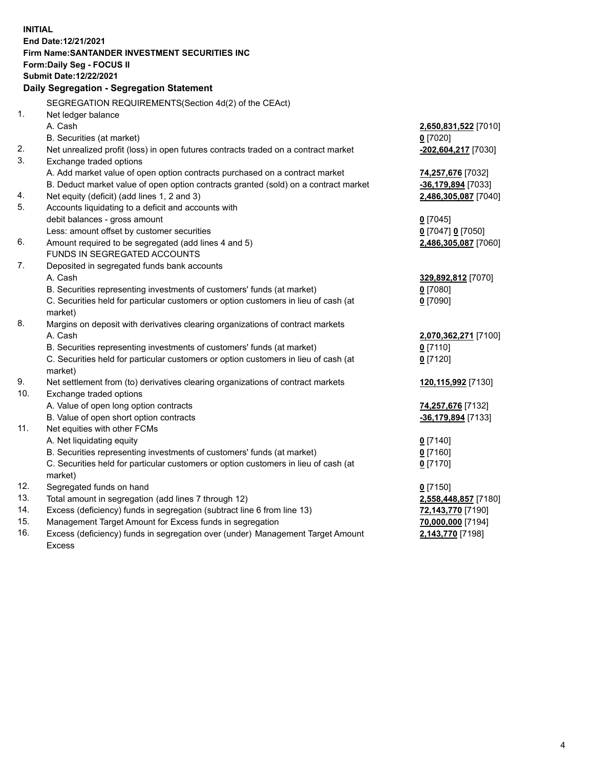| <b>INITIAL</b> |                                                                                     |                      |
|----------------|-------------------------------------------------------------------------------------|----------------------|
|                | End Date: 12/21/2021                                                                |                      |
|                | <b>Firm Name: SANTANDER INVESTMENT SECURITIES INC</b>                               |                      |
|                | Form: Daily Seg - FOCUS II                                                          |                      |
|                | Submit Date:12/22/2021                                                              |                      |
|                | Daily Segregation - Segregation Statement                                           |                      |
|                | SEGREGATION REQUIREMENTS(Section 4d(2) of the CEAct)                                |                      |
| 1.             | Net ledger balance                                                                  |                      |
|                | A. Cash                                                                             | 2,650,831,522 [7010] |
|                | B. Securities (at market)                                                           | $0$ [7020]           |
| 2.             | Net unrealized profit (loss) in open futures contracts traded on a contract market  | -202,604,217 [7030]  |
| 3.             | Exchange traded options                                                             |                      |
|                | A. Add market value of open option contracts purchased on a contract market         | 74,257,676 [7032]    |
|                | B. Deduct market value of open option contracts granted (sold) on a contract market | -36,179,894 [7033]   |
| 4.             | Net equity (deficit) (add lines 1, 2 and 3)                                         | 2,486,305,087 [7040] |
| 5.             | Accounts liquidating to a deficit and accounts with                                 |                      |
|                | debit balances - gross amount                                                       | $0$ [7045]           |
|                | Less: amount offset by customer securities                                          | 0 [7047] 0 [7050]    |
| 6.             | Amount required to be segregated (add lines 4 and 5)                                | 2,486,305,087 [7060] |
|                | FUNDS IN SEGREGATED ACCOUNTS                                                        |                      |
| 7.             | Deposited in segregated funds bank accounts                                         |                      |
|                | A. Cash                                                                             | 329,892,812 [7070]   |
|                | B. Securities representing investments of customers' funds (at market)              | $0$ [7080]           |
|                | C. Securities held for particular customers or option customers in lieu of cash (at | $0$ [7090]           |
|                | market)                                                                             |                      |
| 8.             | Margins on deposit with derivatives clearing organizations of contract markets      |                      |
|                | A. Cash                                                                             | 2,070,362,271 [7100] |
|                | B. Securities representing investments of customers' funds (at market)              | $0$ [7110]           |
|                | C. Securities held for particular customers or option customers in lieu of cash (at | $0$ [7120]           |
|                | market)                                                                             |                      |
| 9.             | Net settlement from (to) derivatives clearing organizations of contract markets     | 120,115,992 [7130]   |
| 10.            | Exchange traded options                                                             |                      |
|                | A. Value of open long option contracts                                              | 74,257,676 [7132]    |
|                | B. Value of open short option contracts                                             | -36,179,894 [7133]   |
| 11.            | Net equities with other FCMs                                                        |                      |
|                | A. Net liquidating equity                                                           | $0$ [7140]           |
|                | B. Securities representing investments of customers' funds (at market)              | $0$ [7160]           |
|                | C. Securities held for particular customers or option customers in lieu of cash (at | $0$ [7170]           |
|                | market)                                                                             |                      |
| 12.            | Segregated funds on hand                                                            | $0$ [7150]           |
| 13.            | Total amount in segregation (add lines 7 through 12)                                | 2,558,448,857 [7180] |
| 14.            | Excess (deficiency) funds in segregation (subtract line 6 from line 13)             | 72,143,770 [7190]    |
| 15.            | Management Target Amount for Excess funds in segregation                            | 70,000,000 [7194]    |
| 16.            | Excess (deficiency) funds in segregation over (under) Management Target Amount      | 2,143,770 [7198]     |
|                | <b>Excess</b>                                                                       |                      |